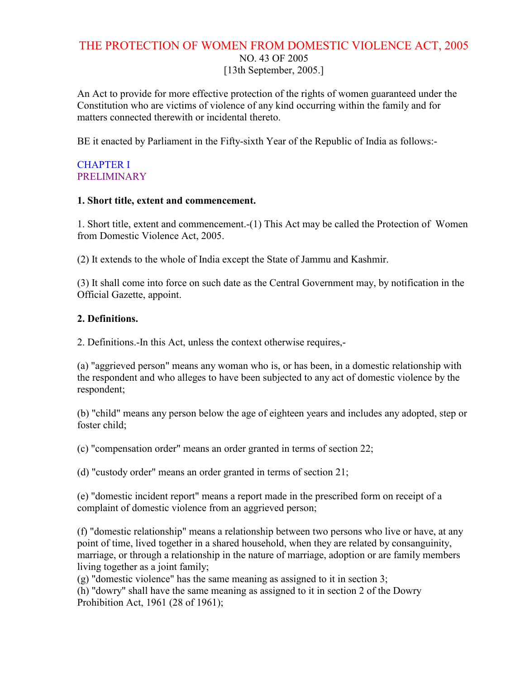# THE PROTECTION OF WOMEN FROM DOMESTIC VIOLENCE ACT, 2005 NO. 43 OF 2005 [13th September, 2005.]

An Act to provide for more effective protection of the rights of women guaranteed under the Constitution who are victims of violence of any kind occurring within the family and for matters connected therewith or incidental thereto.

BE it enacted by Parliament in the Fifty-sixth Year of the Republic of India as follows:-

#### CHAPTER I **PRELIMINARY**

#### 1. Short title, extent and commencement.

1. Short title, extent and commencement.-(1) This Act may be called the Protection of Women from Domestic Violence Act, 2005.

(2) It extends to the whole of India except the State of Jammu and Kashmir.

(3) It shall come into force on such date as the Central Government may, by notification in the Official Gazette, appoint.

#### 2. Definitions.

2. Definitions.-In this Act, unless the context otherwise requires,-

(a) "aggrieved person" means any woman who is, or has been, in a domestic relationship with the respondent and who alleges to have been subjected to any act of domestic violence by the respondent;

(b) "child" means any person below the age of eighteen years and includes any adopted, step or foster child;

(c) "compensation order" means an order granted in terms of section 22;

(d) "custody order" means an order granted in terms of section 21;

(e) "domestic incident report" means a report made in the prescribed form on receipt of a complaint of domestic violence from an aggrieved person;

(f) "domestic relationship" means a relationship between two persons who live or have, at any point of time, lived together in a shared household, when they are related by consanguinity, marriage, or through a relationship in the nature of marriage, adoption or are family members living together as a joint family;

(g) "domestic violence" has the same meaning as assigned to it in section 3;

(h) "dowry" shall have the same meaning as assigned to it in section 2 of the Dowry Prohibition Act, 1961 (28 of 1961);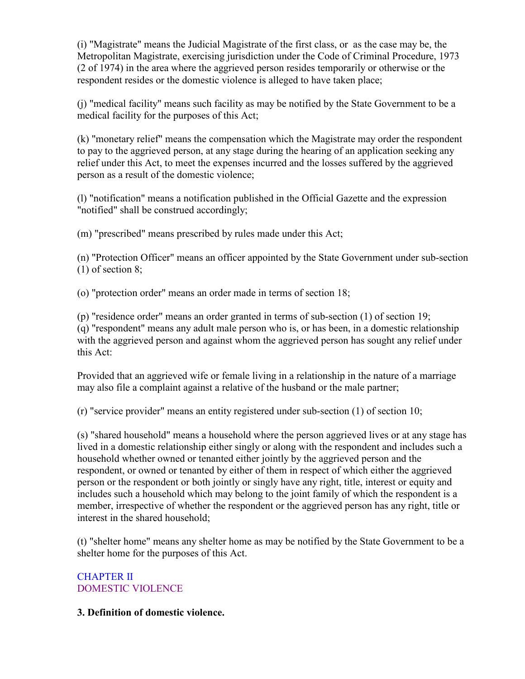(i) "Magistrate" means the Judicial Magistrate of the first class, or as the case may be, the Metropolitan Magistrate, exercising jurisdiction under the Code of Criminal Procedure, 1973 (2 of 1974) in the area where the aggrieved person resides temporarily or otherwise or the respondent resides or the domestic violence is alleged to have taken place;

(j) "medical facility" means such facility as may be notified by the State Government to be a medical facility for the purposes of this Act;

(k) "monetary relief" means the compensation which the Magistrate may order the respondent to pay to the aggrieved person, at any stage during the hearing of an application seeking any relief under this Act, to meet the expenses incurred and the losses suffered by the aggrieved person as a result of the domestic violence;

(l) "notification" means a notification published in the Official Gazette and the expression "notified" shall be construed accordingly;

(m) "prescribed" means prescribed by rules made under this Act;

(n) "Protection Officer" means an officer appointed by the State Government under sub-section (1) of section 8;

(o) "protection order" means an order made in terms of section 18;

(p) "residence order" means an order granted in terms of sub-section (1) of section 19; (q) "respondent" means any adult male person who is, or has been, in a domestic relationship with the aggrieved person and against whom the aggrieved person has sought any relief under this Act:

Provided that an aggrieved wife or female living in a relationship in the nature of a marriage may also file a complaint against a relative of the husband or the male partner;

(r) "service provider" means an entity registered under sub-section (1) of section 10;

(s) "shared household" means a household where the person aggrieved lives or at any stage has lived in a domestic relationship either singly or along with the respondent and includes such a household whether owned or tenanted either jointly by the aggrieved person and the respondent, or owned or tenanted by either of them in respect of which either the aggrieved person or the respondent or both jointly or singly have any right, title, interest or equity and includes such a household which may belong to the joint family of which the respondent is a member, irrespective of whether the respondent or the aggrieved person has any right, title or interest in the shared household;

(t) "shelter home" means any shelter home as may be notified by the State Government to be a shelter home for the purposes of this Act.

## CHAPTER II DOMESTIC VIOLENCE

## 3. Definition of domestic violence.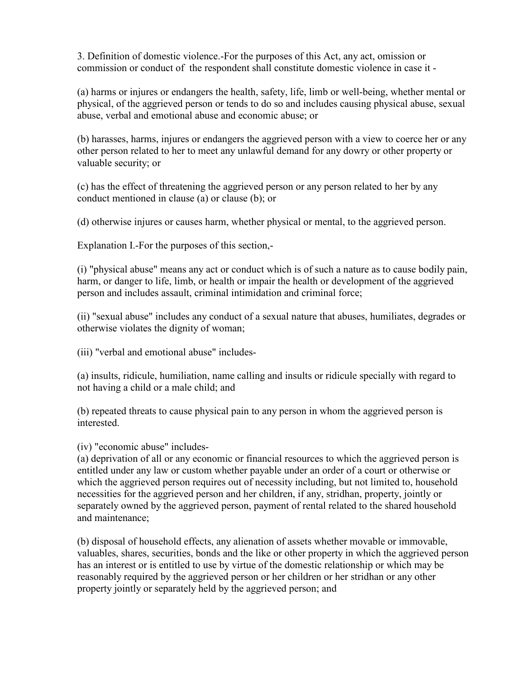3. Definition of domestic violence.-For the purposes of this Act, any act, omission or commission or conduct of the respondent shall constitute domestic violence in case it -

(a) harms or injures or endangers the health, safety, life, limb or well-being, whether mental or physical, of the aggrieved person or tends to do so and includes causing physical abuse, sexual abuse, verbal and emotional abuse and economic abuse; or

(b) harasses, harms, injures or endangers the aggrieved person with a view to coerce her or any other person related to her to meet any unlawful demand for any dowry or other property or valuable security; or

(c) has the effect of threatening the aggrieved person or any person related to her by any conduct mentioned in clause (a) or clause (b); or

(d) otherwise injures or causes harm, whether physical or mental, to the aggrieved person.

Explanation I.-For the purposes of this section,-

(i) "physical abuse" means any act or conduct which is of such a nature as to cause bodily pain, harm, or danger to life, limb, or health or impair the health or development of the aggrieved person and includes assault, criminal intimidation and criminal force;

(ii) "sexual abuse" includes any conduct of a sexual nature that abuses, humiliates, degrades or otherwise violates the dignity of woman;

(iii) "verbal and emotional abuse" includes-

(a) insults, ridicule, humiliation, name calling and insults or ridicule specially with regard to not having a child or a male child; and

(b) repeated threats to cause physical pain to any person in whom the aggrieved person is interested.

(iv) "economic abuse" includes-

(a) deprivation of all or any economic or financial resources to which the aggrieved person is entitled under any law or custom whether payable under an order of a court or otherwise or which the aggrieved person requires out of necessity including, but not limited to, household necessities for the aggrieved person and her children, if any, stridhan, property, jointly or separately owned by the aggrieved person, payment of rental related to the shared household and maintenance;

(b) disposal of household effects, any alienation of assets whether movable or immovable, valuables, shares, securities, bonds and the like or other property in which the aggrieved person has an interest or is entitled to use by virtue of the domestic relationship or which may be reasonably required by the aggrieved person or her children or her stridhan or any other property jointly or separately held by the aggrieved person; and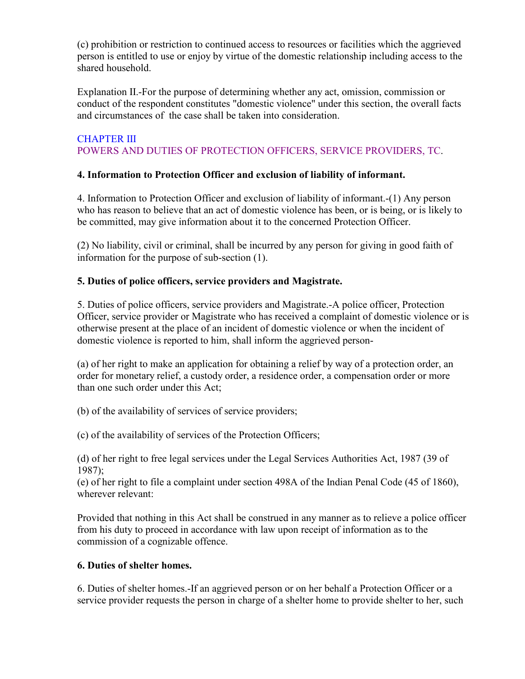(c) prohibition or restriction to continued access to resources or facilities which the aggrieved person is entitled to use or enjoy by virtue of the domestic relationship including access to the shared household.

Explanation II.-For the purpose of determining whether any act, omission, commission or conduct of the respondent constitutes "domestic violence" under this section, the overall facts and circumstances of the case shall be taken into consideration.

### CHAPTER III POWERS AND DUTIES OF PROTECTION OFFICERS, SERVICE PROVIDERS, TC.

## 4. Information to Protection Officer and exclusion of liability of informant.

4. Information to Protection Officer and exclusion of liability of informant.-(1) Any person who has reason to believe that an act of domestic violence has been, or is being, or is likely to be committed, may give information about it to the concerned Protection Officer.

(2) No liability, civil or criminal, shall be incurred by any person for giving in good faith of information for the purpose of sub-section (1).

## 5. Duties of police officers, service providers and Magistrate.

5. Duties of police officers, service providers and Magistrate.-A police officer, Protection Officer, service provider or Magistrate who has received a complaint of domestic violence or is otherwise present at the place of an incident of domestic violence or when the incident of domestic violence is reported to him, shall inform the aggrieved person-

(a) of her right to make an application for obtaining a relief by way of a protection order, an order for monetary relief, a custody order, a residence order, a compensation order or more than one such order under this Act;

(b) of the availability of services of service providers;

(c) of the availability of services of the Protection Officers;

(d) of her right to free legal services under the Legal Services Authorities Act, 1987 (39 of 1987);

(e) of her right to file a complaint under section 498A of the Indian Penal Code (45 of 1860), wherever relevant:

Provided that nothing in this Act shall be construed in any manner as to relieve a police officer from his duty to proceed in accordance with law upon receipt of information as to the commission of a cognizable offence.

## 6. Duties of shelter homes.

6. Duties of shelter homes.-If an aggrieved person or on her behalf a Protection Officer or a service provider requests the person in charge of a shelter home to provide shelter to her, such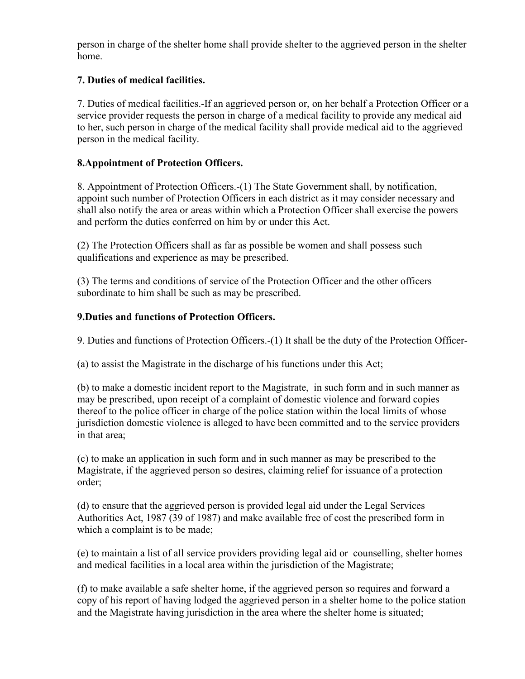person in charge of the shelter home shall provide shelter to the aggrieved person in the shelter home.

### 7. Duties of medical facilities.

7. Duties of medical facilities.-If an aggrieved person or, on her behalf a Protection Officer or a service provider requests the person in charge of a medical facility to provide any medical aid to her, such person in charge of the medical facility shall provide medical aid to the aggrieved person in the medical facility.

### 8.Appointment of Protection Officers.

8. Appointment of Protection Officers.-(1) The State Government shall, by notification, appoint such number of Protection Officers in each district as it may consider necessary and shall also notify the area or areas within which a Protection Officer shall exercise the powers and perform the duties conferred on him by or under this Act.

(2) The Protection Officers shall as far as possible be women and shall possess such qualifications and experience as may be prescribed.

(3) The terms and conditions of service of the Protection Officer and the other officers subordinate to him shall be such as may be prescribed.

#### 9.Duties and functions of Protection Officers.

9. Duties and functions of Protection Officers.-(1) It shall be the duty of the Protection Officer-

(a) to assist the Magistrate in the discharge of his functions under this Act;

(b) to make a domestic incident report to the Magistrate, in such form and in such manner as may be prescribed, upon receipt of a complaint of domestic violence and forward copies thereof to the police officer in charge of the police station within the local limits of whose jurisdiction domestic violence is alleged to have been committed and to the service providers in that area;

(c) to make an application in such form and in such manner as may be prescribed to the Magistrate, if the aggrieved person so desires, claiming relief for issuance of a protection order;

(d) to ensure that the aggrieved person is provided legal aid under the Legal Services Authorities Act, 1987 (39 of 1987) and make available free of cost the prescribed form in which a complaint is to be made;

(e) to maintain a list of all service providers providing legal aid or counselling, shelter homes and medical facilities in a local area within the jurisdiction of the Magistrate;

(f) to make available a safe shelter home, if the aggrieved person so requires and forward a copy of his report of having lodged the aggrieved person in a shelter home to the police station and the Magistrate having jurisdiction in the area where the shelter home is situated;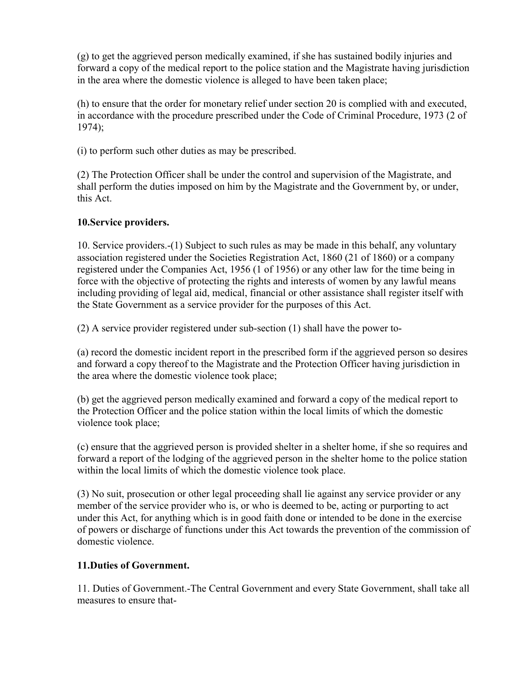(g) to get the aggrieved person medically examined, if she has sustained bodily injuries and forward a copy of the medical report to the police station and the Magistrate having jurisdiction in the area where the domestic violence is alleged to have been taken place;

(h) to ensure that the order for monetary relief under section 20 is complied with and executed, in accordance with the procedure prescribed under the Code of Criminal Procedure, 1973 (2 of 1974);

(i) to perform such other duties as may be prescribed.

(2) The Protection Officer shall be under the control and supervision of the Magistrate, and shall perform the duties imposed on him by the Magistrate and the Government by, or under, this Act.

## 10.Service providers.

10. Service providers.-(1) Subject to such rules as may be made in this behalf, any voluntary association registered under the Societies Registration Act, 1860 (21 of 1860) or a company registered under the Companies Act, 1956 (1 of 1956) or any other law for the time being in force with the objective of protecting the rights and interests of women by any lawful means including providing of legal aid, medical, financial or other assistance shall register itself with the State Government as a service provider for the purposes of this Act.

(2) A service provider registered under sub-section (1) shall have the power to-

(a) record the domestic incident report in the prescribed form if the aggrieved person so desires and forward a copy thereof to the Magistrate and the Protection Officer having jurisdiction in the area where the domestic violence took place;

(b) get the aggrieved person medically examined and forward a copy of the medical report to the Protection Officer and the police station within the local limits of which the domestic violence took place;

(c) ensure that the aggrieved person is provided shelter in a shelter home, if she so requires and forward a report of the lodging of the aggrieved person in the shelter home to the police station within the local limits of which the domestic violence took place.

(3) No suit, prosecution or other legal proceeding shall lie against any service provider or any member of the service provider who is, or who is deemed to be, acting or purporting to act under this Act, for anything which is in good faith done or intended to be done in the exercise of powers or discharge of functions under this Act towards the prevention of the commission of domestic violence.

## 11.Duties of Government.

11. Duties of Government.-The Central Government and every State Government, shall take all measures to ensure that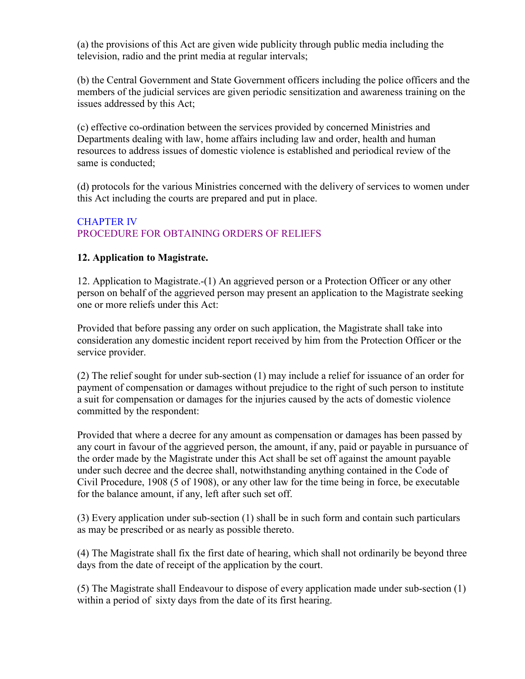(a) the provisions of this Act are given wide publicity through public media including the television, radio and the print media at regular intervals;

(b) the Central Government and State Government officers including the police officers and the members of the judicial services are given periodic sensitization and awareness training on the issues addressed by this Act;

(c) effective co-ordination between the services provided by concerned Ministries and Departments dealing with law, home affairs including law and order, health and human resources to address issues of domestic violence is established and periodical review of the same is conducted;

(d) protocols for the various Ministries concerned with the delivery of services to women under this Act including the courts are prepared and put in place.

### CHAPTER IV PROCEDURE FOR OBTAINING ORDERS OF RELIEFS

### 12. Application to Magistrate.

12. Application to Magistrate.-(1) An aggrieved person or a Protection Officer or any other person on behalf of the aggrieved person may present an application to the Magistrate seeking one or more reliefs under this Act:

Provided that before passing any order on such application, the Magistrate shall take into consideration any domestic incident report received by him from the Protection Officer or the service provider.

(2) The relief sought for under sub-section (1) may include a relief for issuance of an order for payment of compensation or damages without prejudice to the right of such person to institute a suit for compensation or damages for the injuries caused by the acts of domestic violence committed by the respondent:

Provided that where a decree for any amount as compensation or damages has been passed by any court in favour of the aggrieved person, the amount, if any, paid or payable in pursuance of the order made by the Magistrate under this Act shall be set off against the amount payable under such decree and the decree shall, notwithstanding anything contained in the Code of Civil Procedure, 1908 (5 of 1908), or any other law for the time being in force, be executable for the balance amount, if any, left after such set off.

(3) Every application under sub-section (1) shall be in such form and contain such particulars as may be prescribed or as nearly as possible thereto.

(4) The Magistrate shall fix the first date of hearing, which shall not ordinarily be beyond three days from the date of receipt of the application by the court.

(5) The Magistrate shall Endeavour to dispose of every application made under sub-section (1) within a period of sixty days from the date of its first hearing.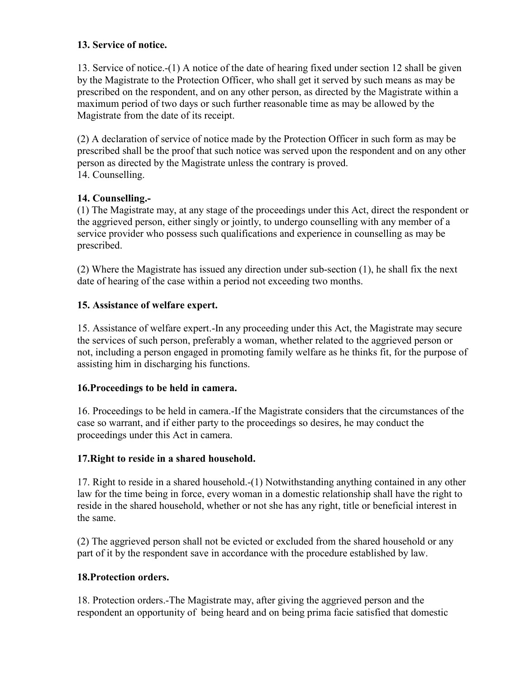#### 13. Service of notice.

13. Service of notice.-(1) A notice of the date of hearing fixed under section 12 shall be given by the Magistrate to the Protection Officer, who shall get it served by such means as may be prescribed on the respondent, and on any other person, as directed by the Magistrate within a maximum period of two days or such further reasonable time as may be allowed by the Magistrate from the date of its receipt.

(2) A declaration of service of notice made by the Protection Officer in such form as may be prescribed shall be the proof that such notice was served upon the respondent and on any other person as directed by the Magistrate unless the contrary is proved. 14. Counselling.

### 14. Counselling.-

(1) The Magistrate may, at any stage of the proceedings under this Act, direct the respondent or the aggrieved person, either singly or jointly, to undergo counselling with any member of a service provider who possess such qualifications and experience in counselling as may be prescribed.

(2) Where the Magistrate has issued any direction under sub-section (1), he shall fix the next date of hearing of the case within a period not exceeding two months.

## 15. Assistance of welfare expert.

15. Assistance of welfare expert.-In any proceeding under this Act, the Magistrate may secure the services of such person, preferably a woman, whether related to the aggrieved person or not, including a person engaged in promoting family welfare as he thinks fit, for the purpose of assisting him in discharging his functions.

#### 16.Proceedings to be held in camera.

16. Proceedings to be held in camera.-If the Magistrate considers that the circumstances of the case so warrant, and if either party to the proceedings so desires, he may conduct the proceedings under this Act in camera.

#### 17.Right to reside in a shared household.

17. Right to reside in a shared household.-(1) Notwithstanding anything contained in any other law for the time being in force, every woman in a domestic relationship shall have the right to reside in the shared household, whether or not she has any right, title or beneficial interest in the same.

(2) The aggrieved person shall not be evicted or excluded from the shared household or any part of it by the respondent save in accordance with the procedure established by law.

## 18.Protection orders.

18. Protection orders.-The Magistrate may, after giving the aggrieved person and the respondent an opportunity of being heard and on being prima facie satisfied that domestic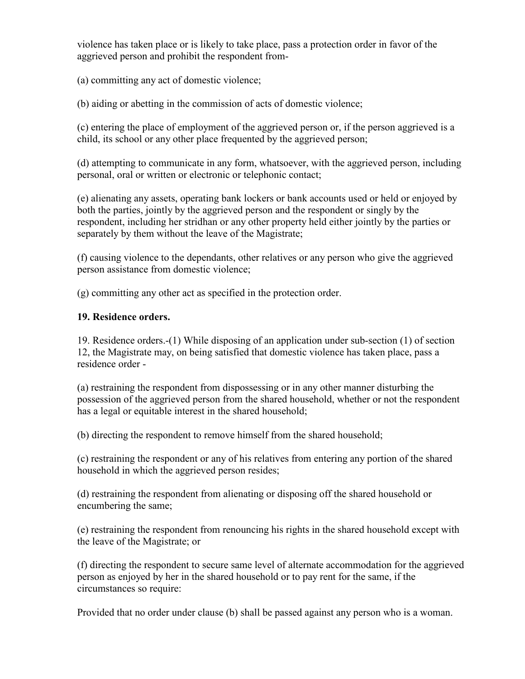violence has taken place or is likely to take place, pass a protection order in favor of the aggrieved person and prohibit the respondent from-

(a) committing any act of domestic violence;

(b) aiding or abetting in the commission of acts of domestic violence;

(c) entering the place of employment of the aggrieved person or, if the person aggrieved is a child, its school or any other place frequented by the aggrieved person;

(d) attempting to communicate in any form, whatsoever, with the aggrieved person, including personal, oral or written or electronic or telephonic contact;

(e) alienating any assets, operating bank lockers or bank accounts used or held or enjoyed by both the parties, jointly by the aggrieved person and the respondent or singly by the respondent, including her stridhan or any other property held either jointly by the parties or separately by them without the leave of the Magistrate;

(f) causing violence to the dependants, other relatives or any person who give the aggrieved person assistance from domestic violence;

(g) committing any other act as specified in the protection order.

### 19. Residence orders.

19. Residence orders.-(1) While disposing of an application under sub-section (1) of section 12, the Magistrate may, on being satisfied that domestic violence has taken place, pass a residence order -

(a) restraining the respondent from dispossessing or in any other manner disturbing the possession of the aggrieved person from the shared household, whether or not the respondent has a legal or equitable interest in the shared household;

(b) directing the respondent to remove himself from the shared household;

(c) restraining the respondent or any of his relatives from entering any portion of the shared household in which the aggrieved person resides;

(d) restraining the respondent from alienating or disposing off the shared household or encumbering the same;

(e) restraining the respondent from renouncing his rights in the shared household except with the leave of the Magistrate; or

(f) directing the respondent to secure same level of alternate accommodation for the aggrieved person as enjoyed by her in the shared household or to pay rent for the same, if the circumstances so require:

Provided that no order under clause (b) shall be passed against any person who is a woman.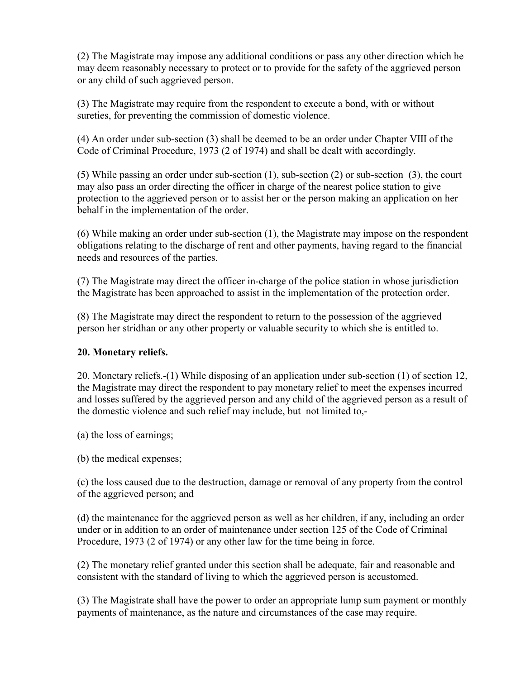(2) The Magistrate may impose any additional conditions or pass any other direction which he may deem reasonably necessary to protect or to provide for the safety of the aggrieved person or any child of such aggrieved person.

(3) The Magistrate may require from the respondent to execute a bond, with or without sureties, for preventing the commission of domestic violence.

(4) An order under sub-section (3) shall be deemed to be an order under Chapter VIII of the Code of Criminal Procedure, 1973 (2 of 1974) and shall be dealt with accordingly.

(5) While passing an order under sub-section (1), sub-section (2) or sub-section (3), the court may also pass an order directing the officer in charge of the nearest police station to give protection to the aggrieved person or to assist her or the person making an application on her behalf in the implementation of the order.

(6) While making an order under sub-section (1), the Magistrate may impose on the respondent obligations relating to the discharge of rent and other payments, having regard to the financial needs and resources of the parties.

(7) The Magistrate may direct the officer in-charge of the police station in whose jurisdiction the Magistrate has been approached to assist in the implementation of the protection order.

(8) The Magistrate may direct the respondent to return to the possession of the aggrieved person her stridhan or any other property or valuable security to which she is entitled to.

## 20. Monetary reliefs.

20. Monetary reliefs.-(1) While disposing of an application under sub-section (1) of section 12, the Magistrate may direct the respondent to pay monetary relief to meet the expenses incurred and losses suffered by the aggrieved person and any child of the aggrieved person as a result of the domestic violence and such relief may include, but not limited to,-

(a) the loss of earnings;

(b) the medical expenses;

(c) the loss caused due to the destruction, damage or removal of any property from the control of the aggrieved person; and

(d) the maintenance for the aggrieved person as well as her children, if any, including an order under or in addition to an order of maintenance under section 125 of the Code of Criminal Procedure, 1973 (2 of 1974) or any other law for the time being in force.

(2) The monetary relief granted under this section shall be adequate, fair and reasonable and consistent with the standard of living to which the aggrieved person is accustomed.

(3) The Magistrate shall have the power to order an appropriate lump sum payment or monthly payments of maintenance, as the nature and circumstances of the case may require.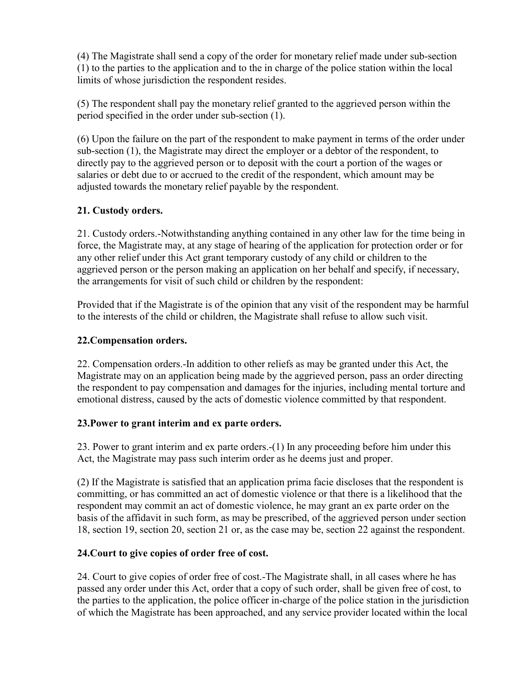(4) The Magistrate shall send a copy of the order for monetary relief made under sub-section (1) to the parties to the application and to the in charge of the police station within the local limits of whose jurisdiction the respondent resides.

(5) The respondent shall pay the monetary relief granted to the aggrieved person within the period specified in the order under sub-section (1).

(6) Upon the failure on the part of the respondent to make payment in terms of the order under sub-section (1), the Magistrate may direct the employer or a debtor of the respondent, to directly pay to the aggrieved person or to deposit with the court a portion of the wages or salaries or debt due to or accrued to the credit of the respondent, which amount may be adjusted towards the monetary relief payable by the respondent.

## 21. Custody orders.

21. Custody orders.-Notwithstanding anything contained in any other law for the time being in force, the Magistrate may, at any stage of hearing of the application for protection order or for any other relief under this Act grant temporary custody of any child or children to the aggrieved person or the person making an application on her behalf and specify, if necessary, the arrangements for visit of such child or children by the respondent:

Provided that if the Magistrate is of the opinion that any visit of the respondent may be harmful to the interests of the child or children, the Magistrate shall refuse to allow such visit.

#### 22.Compensation orders.

22. Compensation orders.-In addition to other reliefs as may be granted under this Act, the Magistrate may on an application being made by the aggrieved person, pass an order directing the respondent to pay compensation and damages for the injuries, including mental torture and emotional distress, caused by the acts of domestic violence committed by that respondent.

#### 23.Power to grant interim and ex parte orders.

23. Power to grant interim and ex parte orders.-(1) In any proceeding before him under this Act, the Magistrate may pass such interim order as he deems just and proper.

(2) If the Magistrate is satisfied that an application prima facie discloses that the respondent is committing, or has committed an act of domestic violence or that there is a likelihood that the respondent may commit an act of domestic violence, he may grant an ex parte order on the basis of the affidavit in such form, as may be prescribed, of the aggrieved person under section 18, section 19, section 20, section 21 or, as the case may be, section 22 against the respondent.

## 24.Court to give copies of order free of cost.

24. Court to give copies of order free of cost.-The Magistrate shall, in all cases where he has passed any order under this Act, order that a copy of such order, shall be given free of cost, to the parties to the application, the police officer in-charge of the police station in the jurisdiction of which the Magistrate has been approached, and any service provider located within the local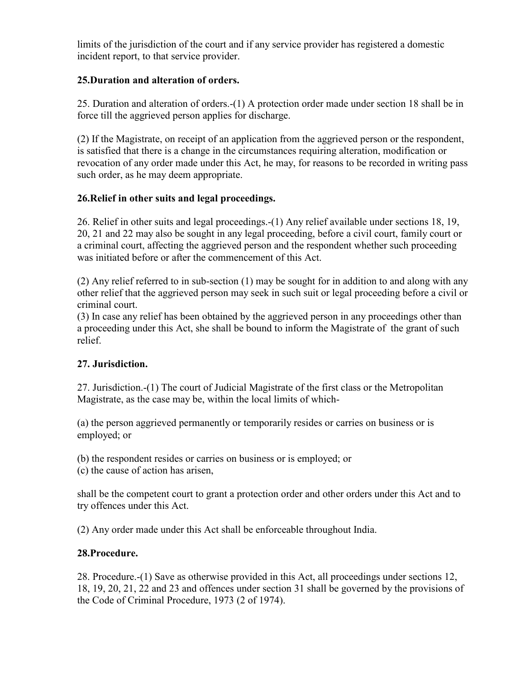limits of the jurisdiction of the court and if any service provider has registered a domestic incident report, to that service provider.

### 25.Duration and alteration of orders.

25. Duration and alteration of orders.-(1) A protection order made under section 18 shall be in force till the aggrieved person applies for discharge.

(2) If the Magistrate, on receipt of an application from the aggrieved person or the respondent, is satisfied that there is a change in the circumstances requiring alteration, modification or revocation of any order made under this Act, he may, for reasons to be recorded in writing pass such order, as he may deem appropriate.

### 26.Relief in other suits and legal proceedings.

26. Relief in other suits and legal proceedings.-(1) Any relief available under sections 18, 19, 20, 21 and 22 may also be sought in any legal proceeding, before a civil court, family court or a criminal court, affecting the aggrieved person and the respondent whether such proceeding was initiated before or after the commencement of this Act.

(2) Any relief referred to in sub-section (1) may be sought for in addition to and along with any other relief that the aggrieved person may seek in such suit or legal proceeding before a civil or criminal court.

(3) In case any relief has been obtained by the aggrieved person in any proceedings other than a proceeding under this Act, she shall be bound to inform the Magistrate of the grant of such relief.

## 27. Jurisdiction.

27. Jurisdiction.-(1) The court of Judicial Magistrate of the first class or the Metropolitan Magistrate, as the case may be, within the local limits of which-

(a) the person aggrieved permanently or temporarily resides or carries on business or is employed; or

(b) the respondent resides or carries on business or is employed; or

(c) the cause of action has arisen,

shall be the competent court to grant a protection order and other orders under this Act and to try offences under this Act.

(2) Any order made under this Act shall be enforceable throughout India.

## 28.Procedure.

28. Procedure.-(1) Save as otherwise provided in this Act, all proceedings under sections 12, 18, 19, 20, 21, 22 and 23 and offences under section 31 shall be governed by the provisions of the Code of Criminal Procedure, 1973 (2 of 1974).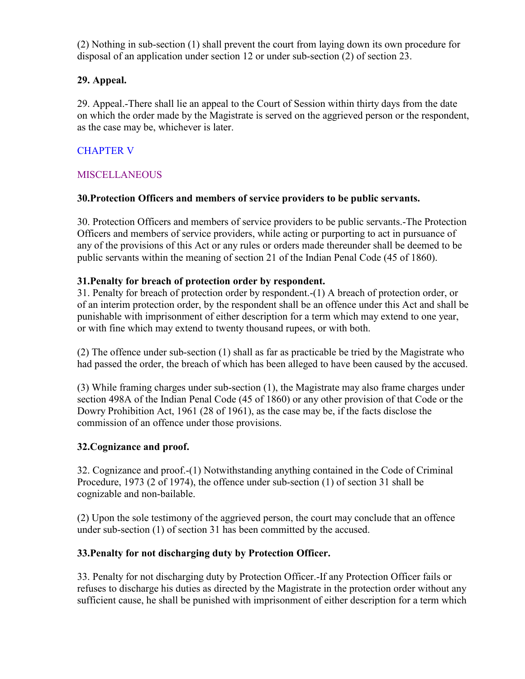(2) Nothing in sub-section (1) shall prevent the court from laying down its own procedure for disposal of an application under section 12 or under sub-section (2) of section 23.

## 29. Appeal.

29. Appeal.-There shall lie an appeal to the Court of Session within thirty days from the date on which the order made by the Magistrate is served on the aggrieved person or the respondent, as the case may be, whichever is later.

# CHAPTER V

## **MISCELLANEOUS**

### 30.Protection Officers and members of service providers to be public servants.

30. Protection Officers and members of service providers to be public servants.-The Protection Officers and members of service providers, while acting or purporting to act in pursuance of any of the provisions of this Act or any rules or orders made thereunder shall be deemed to be public servants within the meaning of section 21 of the Indian Penal Code (45 of 1860).

### 31.Penalty for breach of protection order by respondent.

31. Penalty for breach of protection order by respondent.-(1) A breach of protection order, or of an interim protection order, by the respondent shall be an offence under this Act and shall be punishable with imprisonment of either description for a term which may extend to one year, or with fine which may extend to twenty thousand rupees, or with both.

(2) The offence under sub-section (1) shall as far as practicable be tried by the Magistrate who had passed the order, the breach of which has been alleged to have been caused by the accused.

(3) While framing charges under sub-section (1), the Magistrate may also frame charges under section 498A of the Indian Penal Code (45 of 1860) or any other provision of that Code or the Dowry Prohibition Act, 1961 (28 of 1961), as the case may be, if the facts disclose the commission of an offence under those provisions.

## 32.Cognizance and proof.

32. Cognizance and proof.-(1) Notwithstanding anything contained in the Code of Criminal Procedure, 1973 (2 of 1974), the offence under sub-section (1) of section 31 shall be cognizable and non-bailable.

(2) Upon the sole testimony of the aggrieved person, the court may conclude that an offence under sub-section (1) of section 31 has been committed by the accused.

## 33.Penalty for not discharging duty by Protection Officer.

33. Penalty for not discharging duty by Protection Officer.-If any Protection Officer fails or refuses to discharge his duties as directed by the Magistrate in the protection order without any sufficient cause, he shall be punished with imprisonment of either description for a term which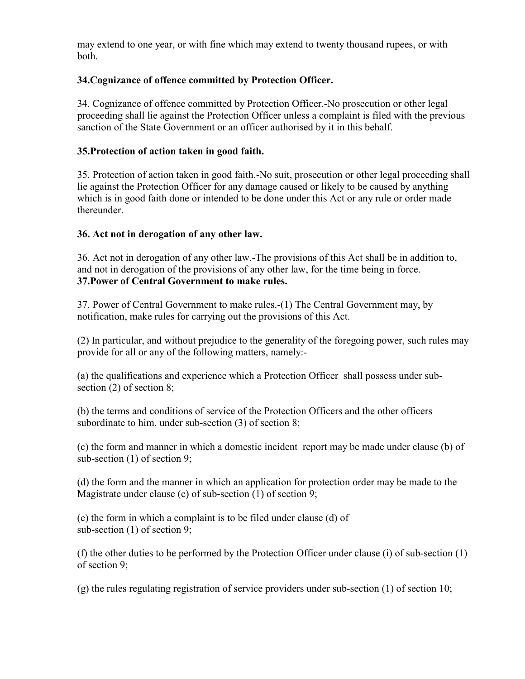may extend to one year, or with fine which may extend to twenty thousand rupees, or with both.

### 34.Cognizance of offence committed by Protection Officer.

34. Cognizance of offence committed by Protection Officer.-No prosecution or other legal proceeding shall lie against the Protection Officer unless a complaint is filed with the previous sanction of the State Government or an officer authorised by it in this behalf.

#### 35.Protection of action taken in good faith.

35. Protection of action taken in good faith.-No suit, prosecution or other legal proceeding shall lie against the Protection Officer for any damage caused or likely to be caused by anything which is in good faith done or intended to be done under this Act or any rule or order made thereunder.

#### 36. Act not in derogation of any other law.

36. Act not in derogation of any other law.-The provisions of this Act shall be in addition to, and not in derogation of the provisions of any other law, for the time being in force. 37.Power of Central Government to make rules.

37. Power of Central Government to make rules.-(1) The Central Government may, by notification, make rules for carrying out the provisions of this Act.

(2) In particular, and without prejudice to the generality of the foregoing power, such rules may provide for all or any of the following matters, namely:-

(a) the qualifications and experience which a Protection Officer shall possess under subsection (2) of section 8;

(b) the terms and conditions of service of the Protection Officers and the other officers subordinate to him, under sub-section (3) of section 8;

(c) the form and manner in which a domestic incident report may be made under clause (b) of sub-section (1) of section 9;

(d) the form and the manner in which an application for protection order may be made to the Magistrate under clause (c) of sub-section (1) of section 9;

(e) the form in which a complaint is to be filed under clause (d) of sub-section (1) of section 9;

(f) the other duties to be performed by the Protection Officer under clause (i) of sub-section (1) of section 9;

(g) the rules regulating registration of service providers under sub-section (1) of section 10;